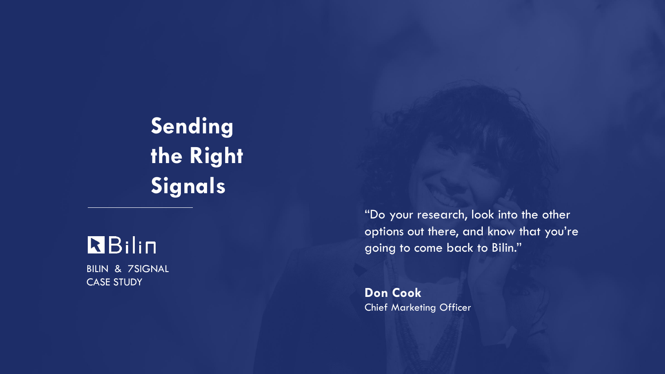**Sending the Right Signals** 

# **R**Bilin

BILIN & 7SIGNAL CASE STUDY

"Do your research, look into the other options out there, and know that you're going to come back to Bilin."

**Don Cook** Chief Marketing Officer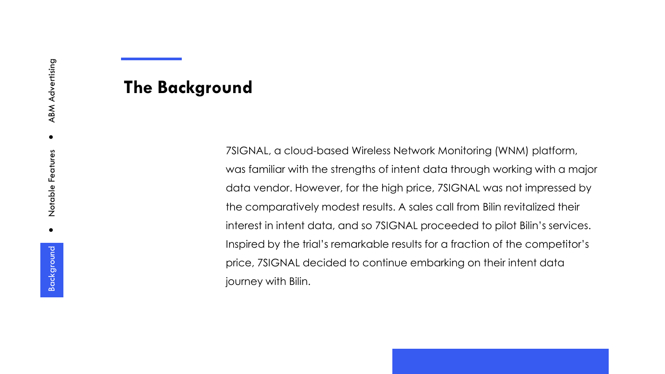## **The Background**

7SIGNAL, a cloud-based Wireless Network Monitoring (WNM) platform, was familiar with the strengths of intent data through working with a major data vendor. However, for the high price, 7SIGNAL was not impressed by the comparatively modest results. A sales call from Bilin revitalized their interest in intent data, and so 7SIGNAL proceeded to pilot Bilin's services. Inspired by the trial's remarkable results for a fraction of the competitor's price, 7SIGNAL decided to continue embarking on their intent data journey with Bilin.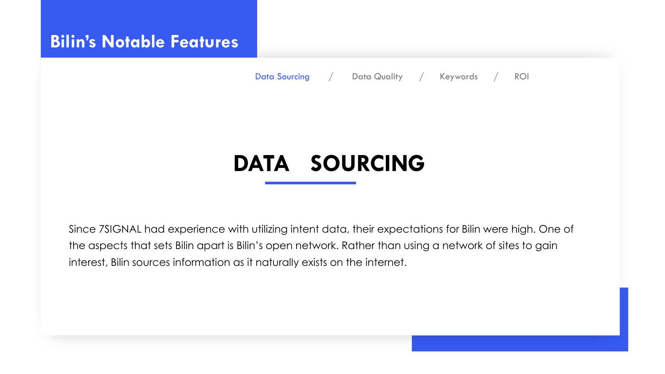## **Bilin's Notable Features**

Data Sourcing / Data Quality / Keywords / ROI

# **DATA SOURCING**

Since 7SIGNAL had experience with utilizing intent data, their expectations for Bilin were high. One of the aspects that sets Bilin apart is Bilin's open network. Rather than using a network of sites to gain interest, Bilin sources information as it naturally exists on the internet.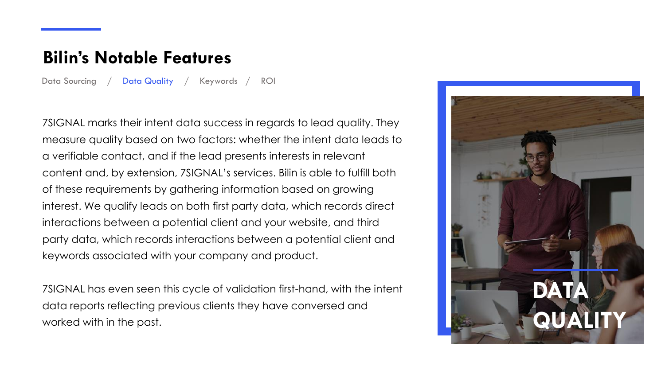## **Bilin's Notable Features**

Data Sourcing / Data Quality / Keywords / ROI

7SIGNAL marks their intent data success in regards to lead quality. They measure quality based on two factors: whether the intent data leads to a verifiable contact, and if the lead presents interests in relevant content and, by extension, 7SIGNAL's services. Bilin is able to fulfill both of these requirements by gathering information based on growing interest. We qualify leads on both first party data, which records direct interactions between a potential client and your website, and third party data, which records interactions between a potential client and keywords associated with your company and product.

7SIGNAL has even seen this cycle of validation first-hand, with the intent data reports reflecting previous clients they have conversed and worked with in the past.

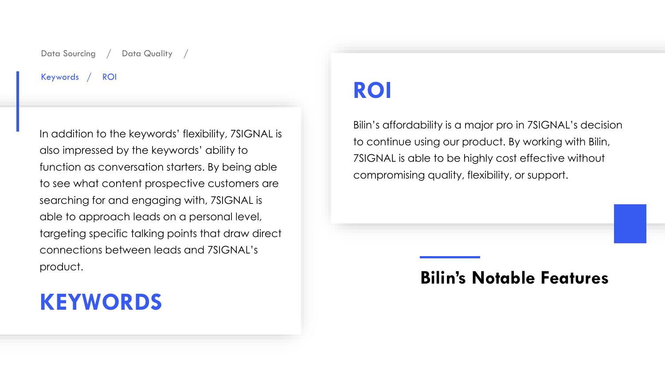#### Data Sourcing / Data Quality

#### Keywords / ROI

In addition to the keywords' flexibility, 7SIGNAL is also impressed by the keywords' ability to function as conversation starters. By being able to see what content prospective customers are searching for and engaging with, 7SIGNAL is able to approach leads on a personal level, targeting specific talking points that draw direct connections between leads and 7SIGNAL's product.

# **KEYWORDS**

# **ROI**

Bilin's affordability is a major pro in 7SIGNAL's decision to continue using our product. By working with Bilin, 7SIGNAL is able to be highly cost effective without compromising quality, flexibility, or support.

### **Bilin's Notable Features**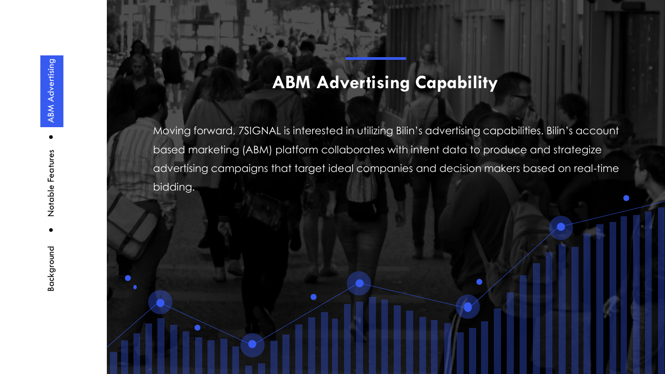## **ABM Advertising Capability**

Moving forward, 7SIGNAL is interested in utilizing Bilin's advertising capabilities. Bilin's account based marketing (ABM) platform collaborates with intent data to produce and strategize advertising campaigns that target ideal companies and decision makers based on real-time bidding.